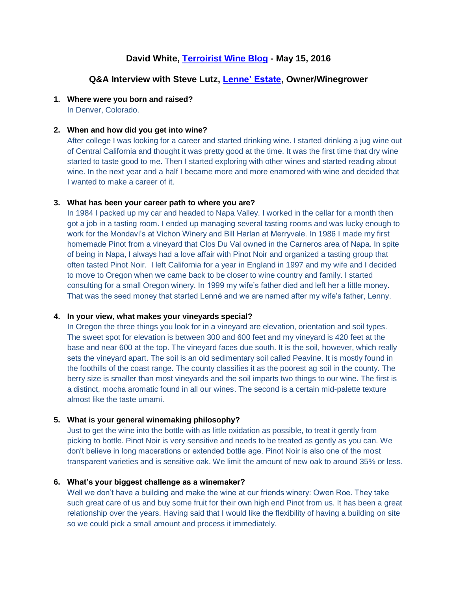# **David White, Terroirist [Wine Blog](http://www.terroirist.com/2016/05/weekly-interview-steve-lutz/#comment-83655) - May 15, 2016**

## **Q&A Interview with Steve Lutz, [Lenne' Estate,](http://www.lenneestate.com/trade) Owner/Winegrower**

#### **1. Where were you born and raised?**

In Denver, Colorado.

#### **2. When and how did you get into wine?**

After college I was looking for a career and started drinking wine. I started drinking a jug wine out of Central California and thought it was pretty good at the time. It was the first time that dry wine started to taste good to me. Then I started exploring with other wines and started reading about wine. In the next year and a half I became more and more enamored with wine and decided that I wanted to make a career of it.

#### **3. What has been your career path to where you are?**

In 1984 I packed up my car and headed to Napa Valley. I worked in the cellar for a month then got a job in a tasting room. I ended up managing several tasting rooms and was lucky enough to work for the Mondavi's at Vichon Winery and Bill Harlan at Merryvale. In 1986 I made my first homemade Pinot from a vineyard that Clos Du Val owned in the Carneros area of Napa. In spite of being in Napa, I always had a love affair with Pinot Noir and organized a tasting group that often tasted Pinot Noir. I left California for a year in England in 1997 and my wife and I decided to move to Oregon when we came back to be closer to wine country and family. I started consulting for a small Oregon winery. In 1999 my wife's father died and left her a little money. That was the seed money that started Lenné and we are named after my wife's father, Lenny.

#### **4. In your view, what makes your vineyards special?**

In Oregon the three things you look for in a vineyard are elevation, orientation and soil types. The sweet spot for elevation is between 300 and 600 feet and my vineyard is 420 feet at the base and near 600 at the top. The vineyard faces due south. It is the soil, however, which really sets the vineyard apart. The soil is an old sedimentary soil called Peavine. It is mostly found in the foothills of the coast range. The county classifies it as the poorest ag soil in the county. The berry size is smaller than most vineyards and the soil imparts two things to our wine. The first is a distinct, mocha aromatic found in all our wines. The second is a certain mid-palette texture almost like the taste umami.

## **5. What is your general winemaking philosophy?**

Just to get the wine into the bottle with as little oxidation as possible, to treat it gently from picking to bottle. Pinot Noir is very sensitive and needs to be treated as gently as you can. We don't believe in long macerations or extended bottle age. Pinot Noir is also one of the most transparent varieties and is sensitive oak. We limit the amount of new oak to around 35% or less.

#### **6. What's your biggest challenge as a winemaker?**

Well we don't have a building and make the wine at our friends winery: Owen Roe. They take such great care of us and buy some fruit for their own high end Pinot from us. It has been a great relationship over the years. Having said that I would like the flexibility of having a building on site so we could pick a small amount and process it immediately.